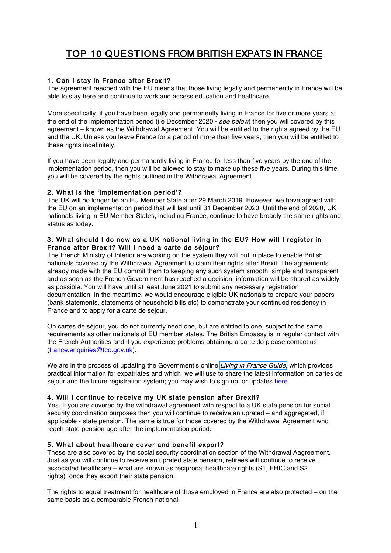# TOP 10 QUESTIONS FROM BRITISH EXPATS IN FRANCE

## 1. Can I stay in France after Brexit?

The agreement reached with the EU means that those living legally and permanently in France will be able to stay here and continue to work and access education and healthcare.

More specifically, if you have been legally and permanently living in France for five or more years at the end of the implementation period (i.e December 2020 - see below) then you will covered by this agreement – known as the Withdrawal Agreement. You will be entitled to the rights agreed by the EU and the UK. Unless you leave France for a period of more than five years, then you will be entitled to these rights indefinitely.

If you have been legally and permanently living in France for less than five years by the end of the implementation period, then you will be allowed to stay to make up these five years. During this time you will be covered by the rights outlined in the Withdrawal Agreement.

## 2. What is the 'implementation period'?

The UK will no longer be an EU Member State after 29 March 2019. However, we have agreed with the EU on an implementation period that will last until 31 December 2020. Until the end of 2020, UK nationals living in EU Member States, including France, continue to have broadly the same rights and status as today.

## 3. What should I do now as a UK national living in the EU? How will I register in France after Brexit? Will I need a carte de séjour?

The French Ministry of Interior are working on the system they will put in place to enable British nationals covered by the Withdrawal Agreement to claim their rights after Brexit. The agreements already made with the EU commit them to keeping any such system smooth, simple and transparent and as soon as the French Government has reached a decision, information will be shared as widely as possible. You will have until at least June 2021 to submit any necessary registration documentation. In the meantime, we would encourage eligible UK nationals to prepare your papers (bank statements, statements of household bills etc) to demonstrate your continued residency in France and to apply for a carte de sejour.

On cartes de séjour, you do not currently need one, but are entitled to one, subject to the same requirements as other nationals of EU member states. The British Embassy is in regular contact with the French Authorities and if you experience problems obtaining a carte do please contact us [\(france.enquiries@fco.gov.uk\)](mailto:france.enquiries@fco.gov.uk).

We are in the process of updating the Government's online [Living in France Guide](https://www.gov.uk/world/living-in-france), which provides practical information for expatriates and which we will use to share the latest information on cartes de séjour and the future registration system; you may wish to sign up for updates [here.](https://www.gov.uk/email-signup/?topic=/world/living-in-france)

## 4. Will I continue to receive my UK state pension after Brexit?

Yes. If you are covered by the withdrawal agreement with respect to a UK state pension for social security coordination purposes then you will continue to receive an uprated – and aggregated, if applicable - state pension. The same is true for those covered by the Withdrawal Agreement who reach state pension age after the implementation period.

## 5. What about healthcare cover and benefit export?

These are also covered by the social security coordination section of the Withdrawal Aagreement. Just as you will continue to receive an uprated state pension, retirees will continue to receive associated healthcare – what are known as reciprocal healthcare rights (S1, EHIC and S2 rights) once they export their state pension.

The rights to equal treatment for healthcare of those employed in France are also protected – on the same basis as a comparable French national.